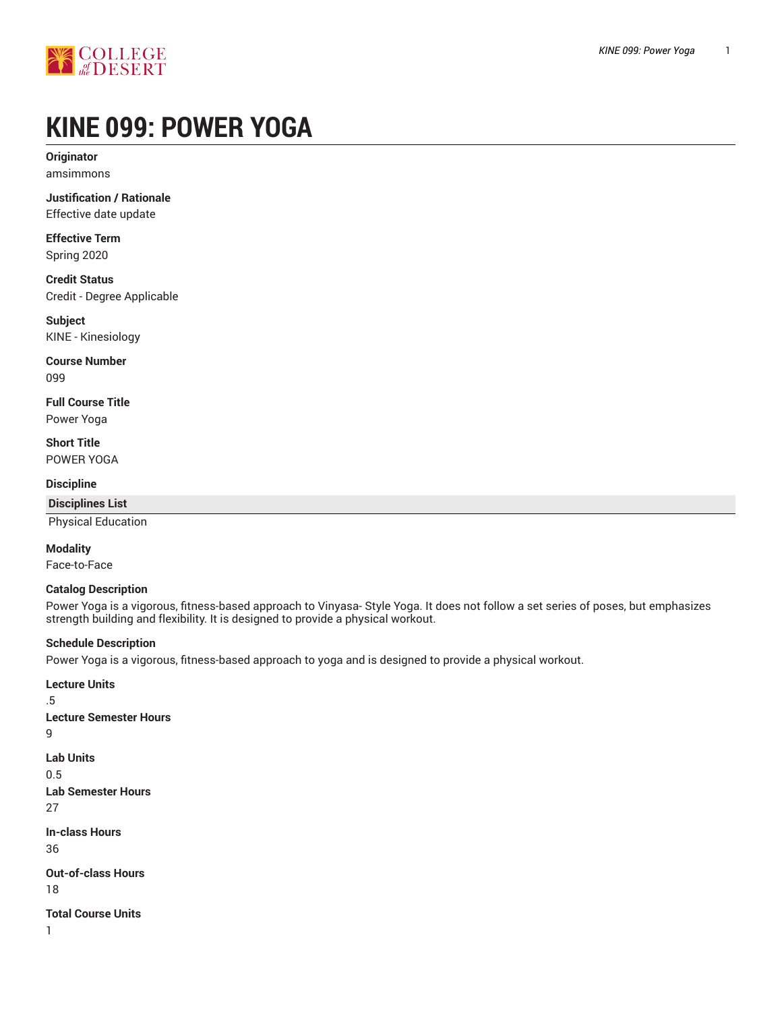

# **KINE 099: POWER YOGA**

**Originator** amsimmons

**Justification / Rationale** Effective date update

**Effective Term** Spring 2020

**Credit Status** Credit - Degree Applicable

**Subject** KINE - Kinesiology

**Course Number** 099

**Full Course Title** Power Yoga

**Short Title** POWER YOGA

**Discipline**

**Disciplines List** Physical Education

**Modality**

Face-to-Face

#### **Catalog Description**

Power Yoga is a vigorous, fitness-based approach to Vinyasa- Style Yoga. It does not follow a set series of poses, but emphasizes strength building and flexibility. It is designed to provide a physical workout.

#### **Schedule Description**

Power Yoga is a vigorous, fitness-based approach to yoga and is designed to provide a physical workout.

**Lecture Units** .5 **Lecture Semester Hours Lab Units** 0.5 **Lab Semester Hours** 27 **In-class Hours** 36 **Out-of-class Hours** 18 **Total Course Units**

1

9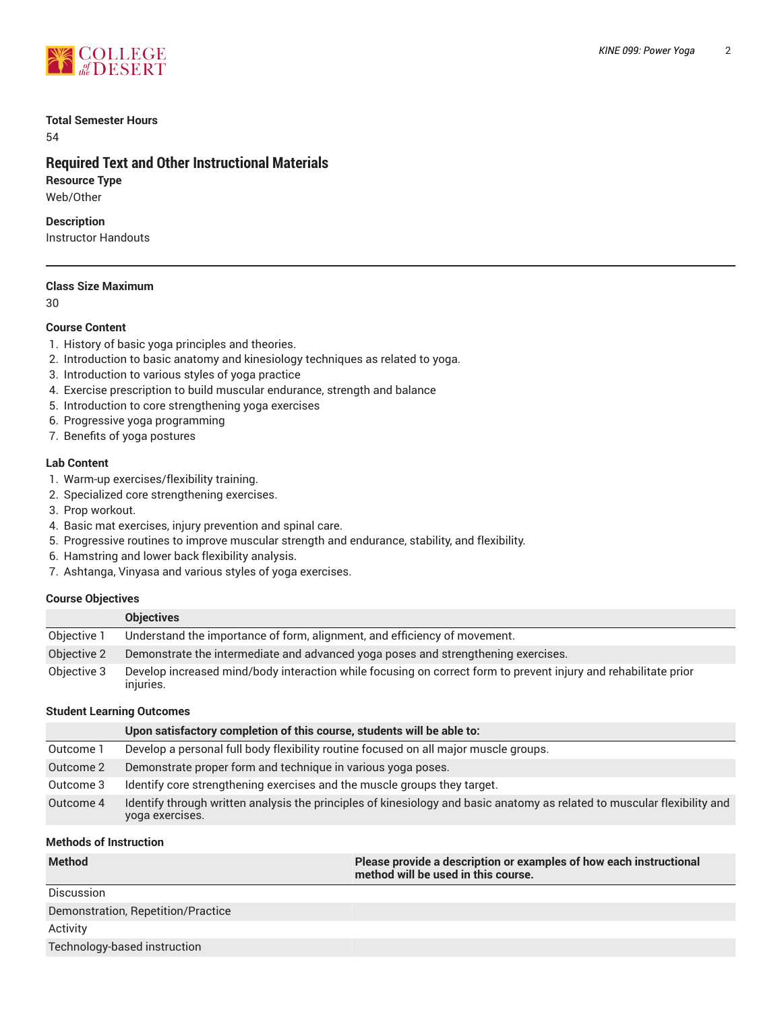

#### **Total Semester Hours**

54

# **Required Text and Other Instructional Materials**

**Resource Type** Web/Other

**Description**

Instructor Handouts

#### **Class Size Maximum**

30

#### **Course Content**

- 1. History of basic yoga principles and theories.
- 2. Introduction to basic anatomy and kinesiology techniques as related to yoga.
- 3. Introduction to various styles of yoga practice
- 4. Exercise prescription to build muscular endurance, strength and balance
- 5. Introduction to core strengthening yoga exercises
- 6. Progressive yoga programming
- 7. Benefits of yoga postures

#### **Lab Content**

- 1. Warm-up exercises/flexibility training.
- 2. Specialized core strengthening exercises.
- 3. Prop workout.
- 4. Basic mat exercises, injury prevention and spinal care.
- 5. Progressive routines to improve muscular strength and endurance, stability, and flexibility.
- 6. Hamstring and lower back flexibility analysis.
- 7. Ashtanga, Vinyasa and various styles of yoga exercises.

#### **Course Objectives**

|             | <b>Objectives</b>                                                                                                            |
|-------------|------------------------------------------------------------------------------------------------------------------------------|
| Objective 1 | Understand the importance of form, alignment, and efficiency of movement.                                                    |
| Objective 2 | Demonstrate the intermediate and advanced yoga poses and strengthening exercises.                                            |
| Objective 3 | Develop increased mind/body interaction while focusing on correct form to prevent injury and rehabilitate prior<br>injuries. |

#### **Student Learning Outcomes**

|           | Upon satisfactory completion of this course, students will be able to:                                                                      |
|-----------|---------------------------------------------------------------------------------------------------------------------------------------------|
| Outcome 1 | Develop a personal full body flexibility routine focused on all major muscle groups.                                                        |
| Outcome 2 | Demonstrate proper form and technique in various yoga poses.                                                                                |
| Outcome 3 | Identify core strengthening exercises and the muscle groups they target.                                                                    |
| Outcome 4 | Identify through written analysis the principles of kinesiology and basic anatomy as related to muscular flexibility and<br>yoga exercises. |

#### **Methods of Instruction**

| <b>Method</b>                      | Please provide a description or examples of how each instructional<br>method will be used in this course. |
|------------------------------------|-----------------------------------------------------------------------------------------------------------|
| Discussion                         |                                                                                                           |
| Demonstration, Repetition/Practice |                                                                                                           |
| Activity                           |                                                                                                           |
| Technology-based instruction       |                                                                                                           |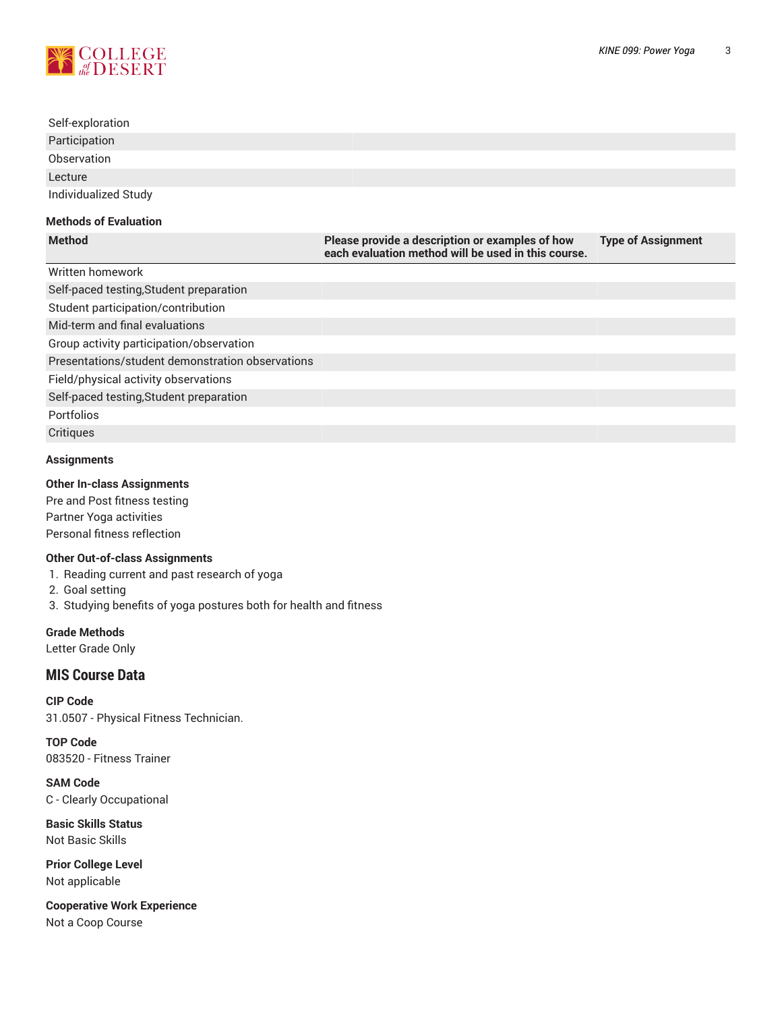

# Self-exploration Participation **Observation** Lecture Individualized Study **Methods of Evaluation Method Please provide a description or examples of how Type of Assignment**

|                                                  | each evaluation method will be used in this course. |  |
|--------------------------------------------------|-----------------------------------------------------|--|
| Written homework                                 |                                                     |  |
| Self-paced testing, Student preparation          |                                                     |  |
| Student participation/contribution               |                                                     |  |
| Mid-term and final evaluations                   |                                                     |  |
| Group activity participation/observation         |                                                     |  |
| Presentations/student demonstration observations |                                                     |  |
| Field/physical activity observations             |                                                     |  |
| Self-paced testing, Student preparation          |                                                     |  |
| <b>Portfolios</b>                                |                                                     |  |
| Critiques                                        |                                                     |  |

## **Assignments**

#### **Other In-class Assignments**

Pre and Post fitness testing Partner Yoga activities Personal fitness reflection

#### **Other Out-of-class Assignments**

1. Reading current and past research of yoga

2. Goal setting

3. Studying benefits of yoga postures both for health and fitness

**Grade Methods** Letter Grade Only

### **MIS Course Data**

**CIP Code** 31.0507 - Physical Fitness Technician.

**TOP Code** 083520 - Fitness Trainer

**SAM Code** C - Clearly Occupational

**Basic Skills Status** Not Basic Skills

**Prior College Level** Not applicable

**Cooperative Work Experience** Not a Coop Course